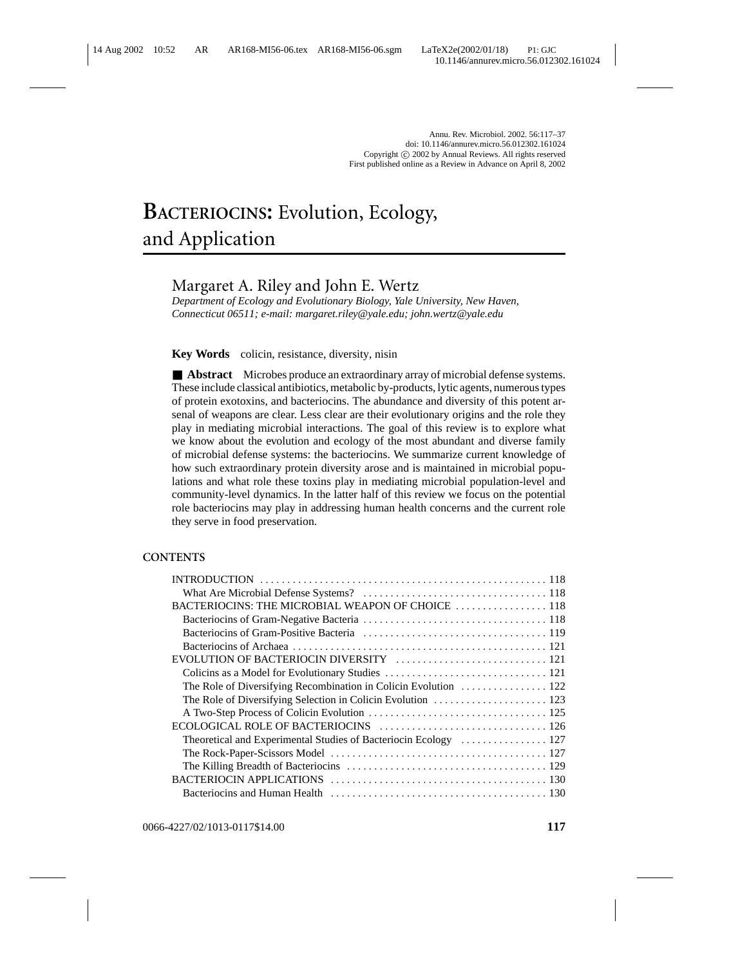# **BACTERIOCINS:** Evolution, Ecology, and Application

# Margaret A. Riley and John E. Wertz

*Department of Ecology and Evolutionary Biology, Yale University, New Haven, Connecticut 06511; e-mail: margaret.riley@yale.edu; john.wertz@yale.edu*

**Key Words** colicin, resistance, diversity, nisin

■ **Abstract** Microbes produce an extraordinary array of microbial defense systems. These include classical antibiotics, metabolic by-products, lytic agents, numerous types of protein exotoxins, and bacteriocins. The abundance and diversity of this potent arsenal of weapons are clear. Less clear are their evolutionary origins and the role they play in mediating microbial interactions. The goal of this review is to explore what we know about the evolution and ecology of the most abundant and diverse family of microbial defense systems: the bacteriocins. We summarize current knowledge of how such extraordinary protein diversity arose and is maintained in microbial populations and what role these toxins play in mediating microbial population-level and community-level dynamics. In the latter half of this review we focus on the potential role bacteriocins may play in addressing human health concerns and the current role they serve in food preservation.

## **CONTENTS**

| BACTERIOCINS: THE MICROBIAL WEAPON OF CHOICE  118                |  |
|------------------------------------------------------------------|--|
|                                                                  |  |
|                                                                  |  |
|                                                                  |  |
|                                                                  |  |
|                                                                  |  |
|                                                                  |  |
|                                                                  |  |
|                                                                  |  |
|                                                                  |  |
| Theoretical and Experimental Studies of Bacteriocin Ecology  127 |  |
|                                                                  |  |
|                                                                  |  |
|                                                                  |  |
|                                                                  |  |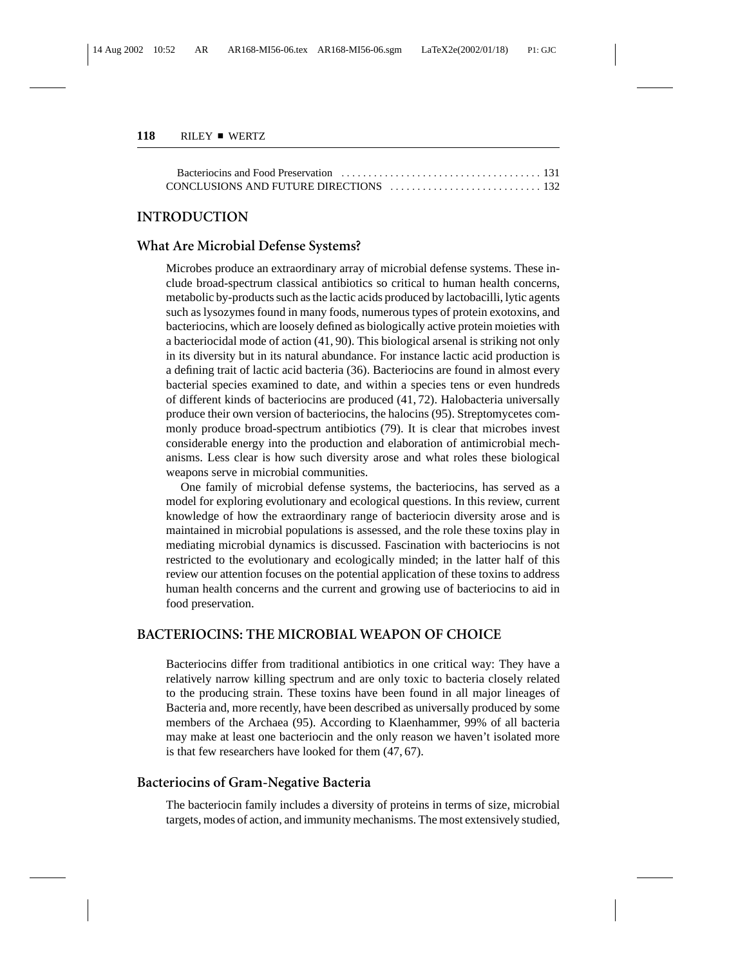# **INTRODUCTION**

#### **What Are Microbial Defense Systems?**

Microbes produce an extraordinary array of microbial defense systems. These include broad-spectrum classical antibiotics so critical to human health concerns, metabolic by-products such as the lactic acids produced by lactobacilli, lytic agents such as lysozymes found in many foods, numerous types of protein exotoxins, and bacteriocins, which are loosely defined as biologically active protein moieties with a bacteriocidal mode of action (41, 90). This biological arsenal is striking not only in its diversity but in its natural abundance. For instance lactic acid production is a defining trait of lactic acid bacteria (36). Bacteriocins are found in almost every bacterial species examined to date, and within a species tens or even hundreds of different kinds of bacteriocins are produced (41, 72). Halobacteria universally produce their own version of bacteriocins, the halocins (95). Streptomycetes commonly produce broad-spectrum antibiotics (79). It is clear that microbes invest considerable energy into the production and elaboration of antimicrobial mechanisms. Less clear is how such diversity arose and what roles these biological weapons serve in microbial communities.

One family of microbial defense systems, the bacteriocins, has served as a model for exploring evolutionary and ecological questions. In this review, current knowledge of how the extraordinary range of bacteriocin diversity arose and is maintained in microbial populations is assessed, and the role these toxins play in mediating microbial dynamics is discussed. Fascination with bacteriocins is not restricted to the evolutionary and ecologically minded; in the latter half of this review our attention focuses on the potential application of these toxins to address human health concerns and the current and growing use of bacteriocins to aid in food preservation.

#### **BACTERIOCINS: THE MICROBIAL WEAPON OF CHOICE**

Bacteriocins differ from traditional antibiotics in one critical way: They have a relatively narrow killing spectrum and are only toxic to bacteria closely related to the producing strain. These toxins have been found in all major lineages of Bacteria and, more recently, have been described as universally produced by some members of the Archaea (95). According to Klaenhammer, 99% of all bacteria may make at least one bacteriocin and the only reason we haven't isolated more is that few researchers have looked for them (47, 67).

# **Bacteriocins of Gram-Negative Bacteria**

The bacteriocin family includes a diversity of proteins in terms of size, microbial targets, modes of action, and immunity mechanisms. The most extensively studied,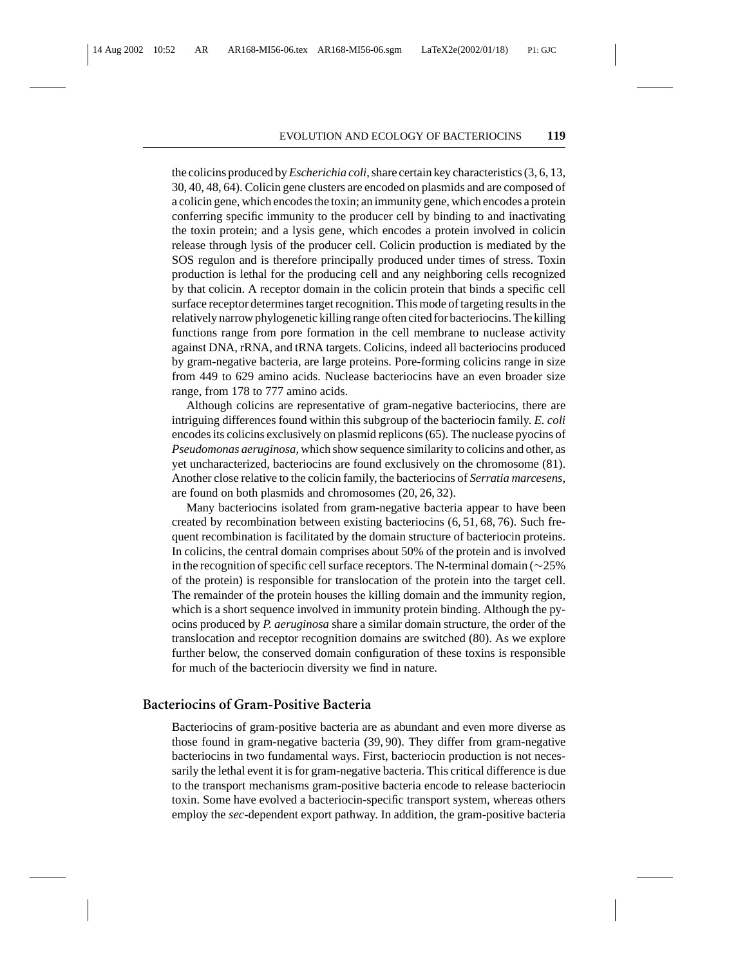the colicins produced by*Escherichia coli*, share certain key characteristics (3, 6, 13, 30, 40, 48, 64). Colicin gene clusters are encoded on plasmids and are composed of a colicin gene, which encodes the toxin; an immunity gene, which encodes a protein conferring specific immunity to the producer cell by binding to and inactivating the toxin protein; and a lysis gene, which encodes a protein involved in colicin release through lysis of the producer cell. Colicin production is mediated by the SOS regulon and is therefore principally produced under times of stress. Toxin production is lethal for the producing cell and any neighboring cells recognized by that colicin. A receptor domain in the colicin protein that binds a specific cell surface receptor determines target recognition. This mode of targeting results in the relatively narrow phylogenetic killing range often cited for bacteriocins. The killing functions range from pore formation in the cell membrane to nuclease activity against DNA, rRNA, and tRNA targets. Colicins, indeed all bacteriocins produced by gram-negative bacteria, are large proteins. Pore-forming colicins range in size from 449 to 629 amino acids. Nuclease bacteriocins have an even broader size range, from 178 to 777 amino acids.

Although colicins are representative of gram-negative bacteriocins, there are intriguing differences found within this subgroup of the bacteriocin family. *E. coli* encodes its colicins exclusively on plasmid replicons (65). The nuclease pyocins of *Pseudomonas aeruginosa*, which show sequence similarity to colicins and other, as yet uncharacterized, bacteriocins are found exclusively on the chromosome (81). Another close relative to the colicin family, the bacteriocins of *Serratia marcesens*, are found on both plasmids and chromosomes (20, 26, 32).

Many bacteriocins isolated from gram-negative bacteria appear to have been created by recombination between existing bacteriocins (6, 51, 68, 76). Such frequent recombination is facilitated by the domain structure of bacteriocin proteins. In colicins, the central domain comprises about 50% of the protein and is involved in the recognition of specific cell surface receptors. The N-terminal domain (∼25% of the protein) is responsible for translocation of the protein into the target cell. The remainder of the protein houses the killing domain and the immunity region, which is a short sequence involved in immunity protein binding. Although the pyocins produced by *P. aeruginosa* share a similar domain structure, the order of the translocation and receptor recognition domains are switched (80). As we explore further below, the conserved domain configuration of these toxins is responsible for much of the bacteriocin diversity we find in nature.

## **Bacteriocins of Gram-Positive Bacteria**

Bacteriocins of gram-positive bacteria are as abundant and even more diverse as those found in gram-negative bacteria (39, 90). They differ from gram-negative bacteriocins in two fundamental ways. First, bacteriocin production is not necessarily the lethal event it is for gram-negative bacteria. This critical difference is due to the transport mechanisms gram-positive bacteria encode to release bacteriocin toxin. Some have evolved a bacteriocin-specific transport system, whereas others employ the *sec*-dependent export pathway. In addition, the gram-positive bacteria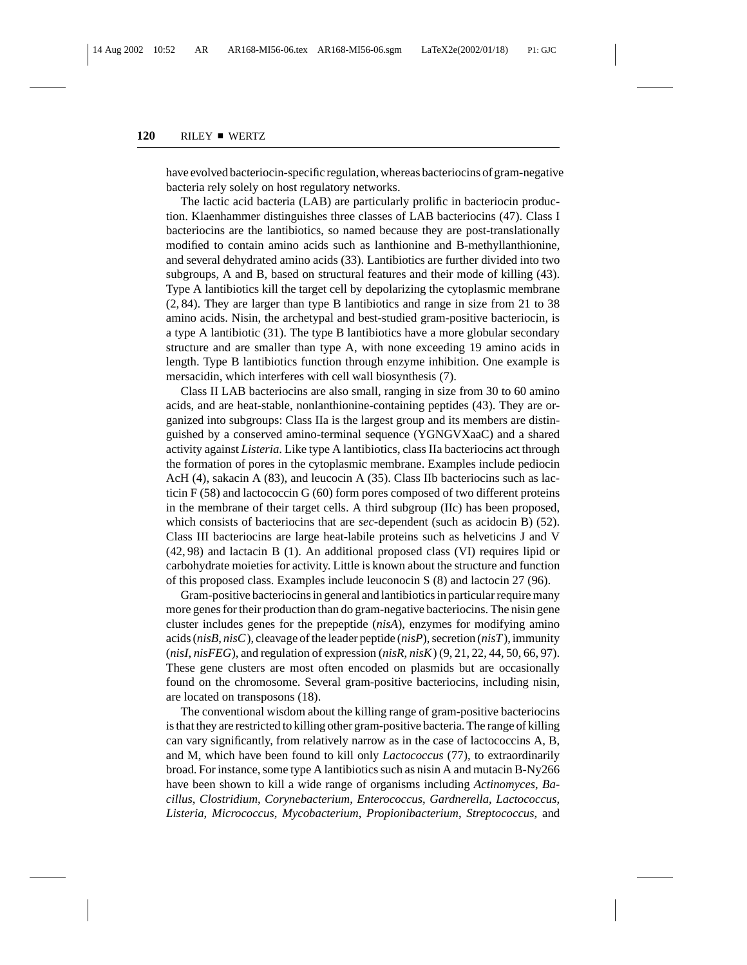have evolved bacteriocin-specific regulation, whereas bacteriocins of gram-negative bacteria rely solely on host regulatory networks.

The lactic acid bacteria (LAB) are particularly prolific in bacteriocin production. Klaenhammer distinguishes three classes of LAB bacteriocins (47). Class I bacteriocins are the lantibiotics, so named because they are post-translationally modified to contain amino acids such as lanthionine and B-methyllanthionine, and several dehydrated amino acids (33). Lantibiotics are further divided into two subgroups, A and B, based on structural features and their mode of killing (43). Type A lantibiotics kill the target cell by depolarizing the cytoplasmic membrane (2, 84). They are larger than type B lantibiotics and range in size from 21 to 38 amino acids. Nisin, the archetypal and best-studied gram-positive bacteriocin, is a type A lantibiotic (31). The type B lantibiotics have a more globular secondary structure and are smaller than type A, with none exceeding 19 amino acids in length. Type B lantibiotics function through enzyme inhibition. One example is mersacidin, which interferes with cell wall biosynthesis (7).

Class II LAB bacteriocins are also small, ranging in size from 30 to 60 amino acids, and are heat-stable, nonlanthionine-containing peptides (43). They are organized into subgroups: Class IIa is the largest group and its members are distinguished by a conserved amino-terminal sequence (YGNGVXaaC) and a shared activity against *Listeria*. Like type A lantibiotics, class IIa bacteriocins act through the formation of pores in the cytoplasmic membrane. Examples include pediocin AcH (4), sakacin A (83), and leucocin A (35). Class IIb bacteriocins such as lacticin  $F(58)$  and lactococcin G (60) form pores composed of two different proteins in the membrane of their target cells. A third subgroup (IIc) has been proposed, which consists of bacteriocins that are *sec*-dependent (such as acidocin B) (52). Class III bacteriocins are large heat-labile proteins such as helveticins J and V (42, 98) and lactacin B (1). An additional proposed class (VI) requires lipid or carbohydrate moieties for activity. Little is known about the structure and function of this proposed class. Examples include leuconocin S (8) and lactocin 27 (96).

Gram-positive bacteriocins in general and lantibiotics in particular require many more genes for their production than do gram-negative bacteriocins. The nisin gene cluster includes genes for the prepeptide (*nisA*), enzymes for modifying amino acids (*nisB*, *nisC*), cleavage of the leader peptide (*nisP*), secretion (*nisT*), immunity (*nisI*, *nisFEG*), and regulation of expression (*nisR*, *nisK*) (9, 21, 22, 44, 50, 66, 97). These gene clusters are most often encoded on plasmids but are occasionally found on the chromosome. Several gram-positive bacteriocins, including nisin, are located on transposons (18).

The conventional wisdom about the killing range of gram-positive bacteriocins is that they are restricted to killing other gram-positive bacteria. The range of killing can vary significantly, from relatively narrow as in the case of lactococcins A, B, and M, which have been found to kill only *Lactococcus* (77), to extraordinarily broad. For instance, some type A lantibiotics such as nisin A and mutacin B-Ny266 have been shown to kill a wide range of organisms including *Actinomyces*, *Bacillus*, *Clostridium*, *Corynebacterium*, *Enterococcus*, *Gardnerella*, *Lactococcus*, *Listeria*, *Micrococcus*, *Mycobacterium*, *Propionibacterium*, *Streptococcus*, and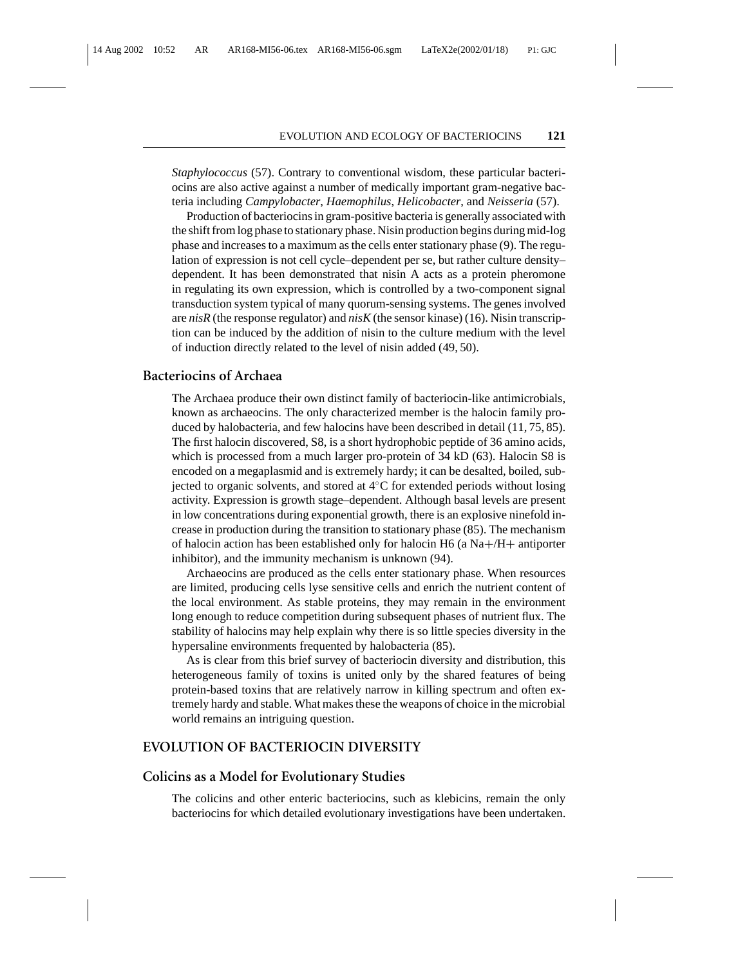*Staphylococcus* (57). Contrary to conventional wisdom, these particular bacteriocins are also active against a number of medically important gram-negative bacteria including *Campylobacter*, *Haemophilus*, *Helicobacter*, and *Neisseria* (57).

Production of bacteriocins in gram-positive bacteria is generally associated with the shift from log phase to stationary phase. Nisin production begins during mid-log phase and increases to a maximum as the cells enter stationary phase (9). The regulation of expression is not cell cycle–dependent per se, but rather culture density– dependent. It has been demonstrated that nisin A acts as a protein pheromone in regulating its own expression, which is controlled by a two-component signal transduction system typical of many quorum-sensing systems. The genes involved are  $nisR$  (the response regulator) and  $nisK$  (the sensor kinase) (16). Nisin transcription can be induced by the addition of nisin to the culture medium with the level of induction directly related to the level of nisin added (49, 50).

#### **Bacteriocins of Archaea**

The Archaea produce their own distinct family of bacteriocin-like antimicrobials, known as archaeocins. The only characterized member is the halocin family produced by halobacteria, and few halocins have been described in detail (11, 75, 85). The first halocin discovered, S8, is a short hydrophobic peptide of 36 amino acids, which is processed from a much larger pro-protein of 34 kD (63). Halocin S8 is encoded on a megaplasmid and is extremely hardy; it can be desalted, boiled, subjected to organic solvents, and stored at 4◦C for extended periods without losing activity. Expression is growth stage–dependent. Although basal levels are present in low concentrations during exponential growth, there is an explosive ninefold increase in production during the transition to stationary phase (85). The mechanism of halocin action has been established only for halocin H6 (a Na+/H+ antiporter inhibitor), and the immunity mechanism is unknown (94).

Archaeocins are produced as the cells enter stationary phase. When resources are limited, producing cells lyse sensitive cells and enrich the nutrient content of the local environment. As stable proteins, they may remain in the environment long enough to reduce competition during subsequent phases of nutrient flux. The stability of halocins may help explain why there is so little species diversity in the hypersaline environments frequented by halobacteria (85).

As is clear from this brief survey of bacteriocin diversity and distribution, this heterogeneous family of toxins is united only by the shared features of being protein-based toxins that are relatively narrow in killing spectrum and often extremely hardy and stable. What makes these the weapons of choice in the microbial world remains an intriguing question.

# **EVOLUTION OF BACTERIOCIN DIVERSITY**

#### **Colicins as a Model for Evolutionary Studies**

The colicins and other enteric bacteriocins, such as klebicins, remain the only bacteriocins for which detailed evolutionary investigations have been undertaken.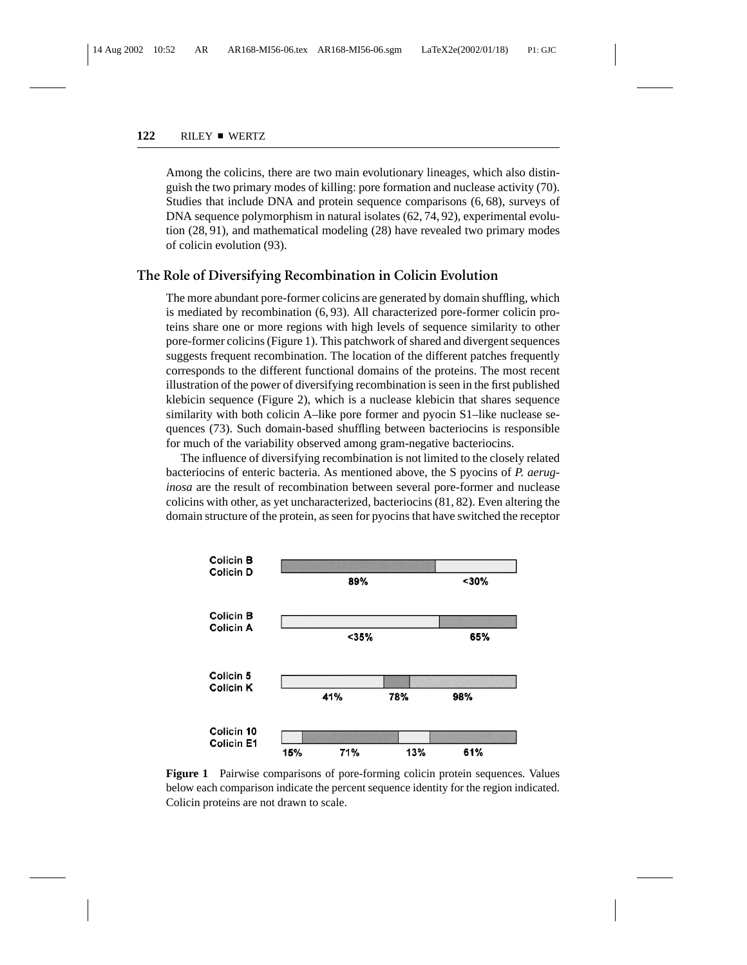Among the colicins, there are two main evolutionary lineages, which also distinguish the two primary modes of killing: pore formation and nuclease activity (70). Studies that include DNA and protein sequence comparisons (6, 68), surveys of DNA sequence polymorphism in natural isolates (62, 74, 92), experimental evolution (28, 91), and mathematical modeling (28) have revealed two primary modes of colicin evolution (93).

## **The Role of Diversifying Recombination in Colicin Evolution**

The more abundant pore-former colicins are generated by domain shuffling, which is mediated by recombination (6, 93). All characterized pore-former colicin proteins share one or more regions with high levels of sequence similarity to other pore-former colicins (Figure 1). This patchwork of shared and divergent sequences suggests frequent recombination. The location of the different patches frequently corresponds to the different functional domains of the proteins. The most recent illustration of the power of diversifying recombination is seen in the first published klebicin sequence (Figure 2), which is a nuclease klebicin that shares sequence similarity with both colicin A–like pore former and pyocin S1–like nuclease sequences (73). Such domain-based shuffling between bacteriocins is responsible for much of the variability observed among gram-negative bacteriocins.

The influence of diversifying recombination is not limited to the closely related bacteriocins of enteric bacteria. As mentioned above, the S pyocins of *P. aeruginosa* are the result of recombination between several pore-former and nuclease colicins with other, as yet uncharacterized, bacteriocins (81, 82). Even altering the domain structure of the protein, as seen for pyocins that have switched the receptor



**Figure 1** Pairwise comparisons of pore-forming colicin protein sequences. Values below each comparison indicate the percent sequence identity for the region indicated. Colicin proteins are not drawn to scale.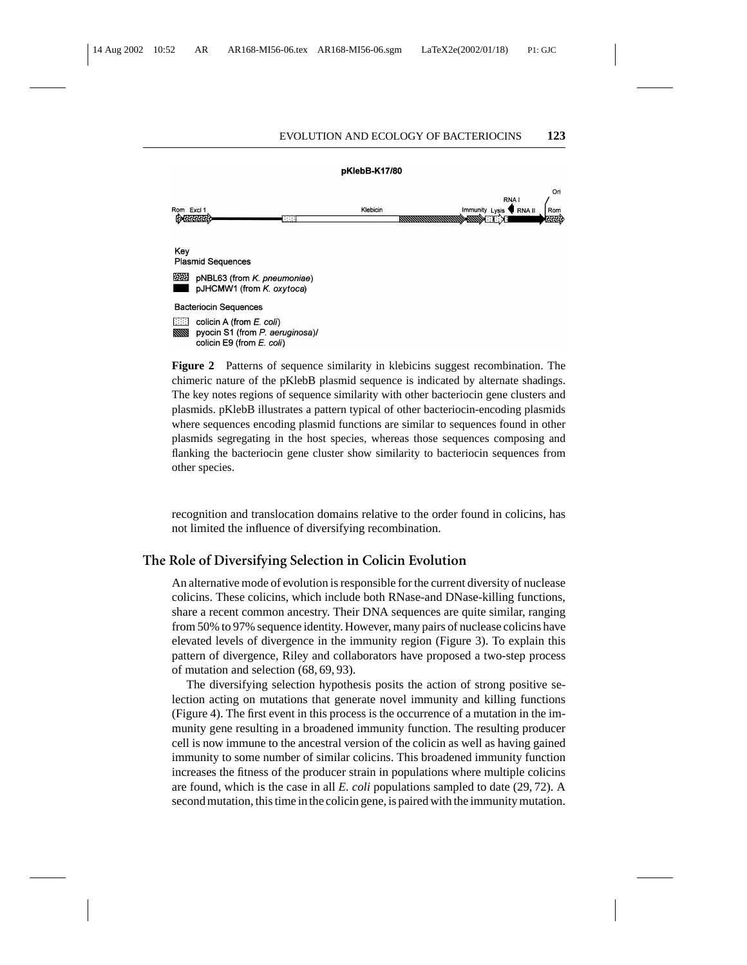#### pKlebB-K17/80



**Figure 2** Patterns of sequence similarity in klebicins suggest recombination. The chimeric nature of the pKlebB plasmid sequence is indicated by alternate shadings. The key notes regions of sequence similarity with other bacteriocin gene clusters and plasmids. pKlebB illustrates a pattern typical of other bacteriocin-encoding plasmids where sequences encoding plasmid functions are similar to sequences found in other plasmids segregating in the host species, whereas those sequences composing and flanking the bacteriocin gene cluster show similarity to bacteriocin sequences from other species.

recognition and translocation domains relative to the order found in colicins, has not limited the influence of diversifying recombination.

#### **The Role of Diversifying Selection in Colicin Evolution**

An alternative mode of evolution is responsible for the current diversity of nuclease colicins. These colicins, which include both RNase-and DNase-killing functions, share a recent common ancestry. Their DNA sequences are quite similar, ranging from 50% to 97% sequence identity. However, many pairs of nuclease colicins have elevated levels of divergence in the immunity region (Figure 3). To explain this pattern of divergence, Riley and collaborators have proposed a two-step process of mutation and selection (68, 69, 93).

The diversifying selection hypothesis posits the action of strong positive selection acting on mutations that generate novel immunity and killing functions (Figure 4). The first event in this process is the occurrence of a mutation in the immunity gene resulting in a broadened immunity function. The resulting producer cell is now immune to the ancestral version of the colicin as well as having gained immunity to some number of similar colicins. This broadened immunity function increases the fitness of the producer strain in populations where multiple colicins are found, which is the case in all *E. coli* populations sampled to date (29, 72). A second mutation, this time in the colicin gene, is paired with the immunity mutation.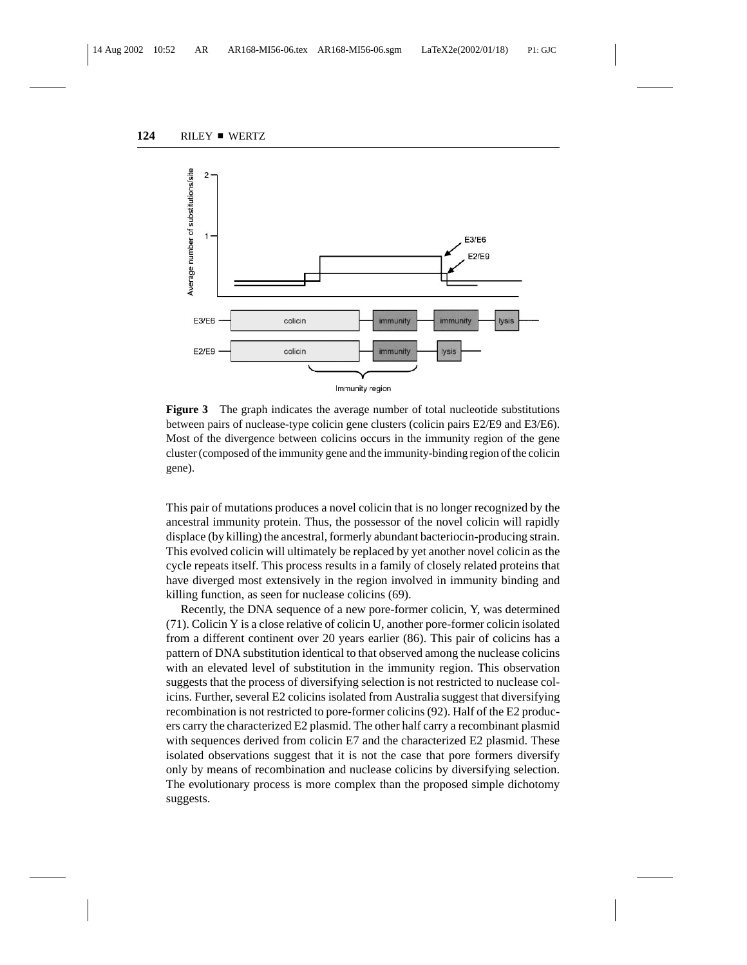

**Figure 3** The graph indicates the average number of total nucleotide substitutions between pairs of nuclease-type colicin gene clusters (colicin pairs E2/E9 and E3/E6). Most of the divergence between colicins occurs in the immunity region of the gene cluster (composed of the immunity gene and the immunity-binding region of the colicin gene).

This pair of mutations produces a novel colicin that is no longer recognized by the ancestral immunity protein. Thus, the possessor of the novel colicin will rapidly displace (by killing) the ancestral, formerly abundant bacteriocin-producing strain. This evolved colicin will ultimately be replaced by yet another novel colicin as the cycle repeats itself. This process results in a family of closely related proteins that have diverged most extensively in the region involved in immunity binding and killing function, as seen for nuclease colicins (69).

Recently, the DNA sequence of a new pore-former colicin, Y, was determined (71). Colicin Y is a close relative of colicin U, another pore-former colicin isolated from a different continent over 20 years earlier (86). This pair of colicins has a pattern of DNA substitution identical to that observed among the nuclease colicins with an elevated level of substitution in the immunity region. This observation suggests that the process of diversifying selection is not restricted to nuclease colicins. Further, several E2 colicins isolated from Australia suggest that diversifying recombination is not restricted to pore-former colicins (92). Half of the E2 producers carry the characterized E2 plasmid. The other half carry a recombinant plasmid with sequences derived from colicin E7 and the characterized E2 plasmid. These isolated observations suggest that it is not the case that pore formers diversify only by means of recombination and nuclease colicins by diversifying selection. The evolutionary process is more complex than the proposed simple dichotomy suggests.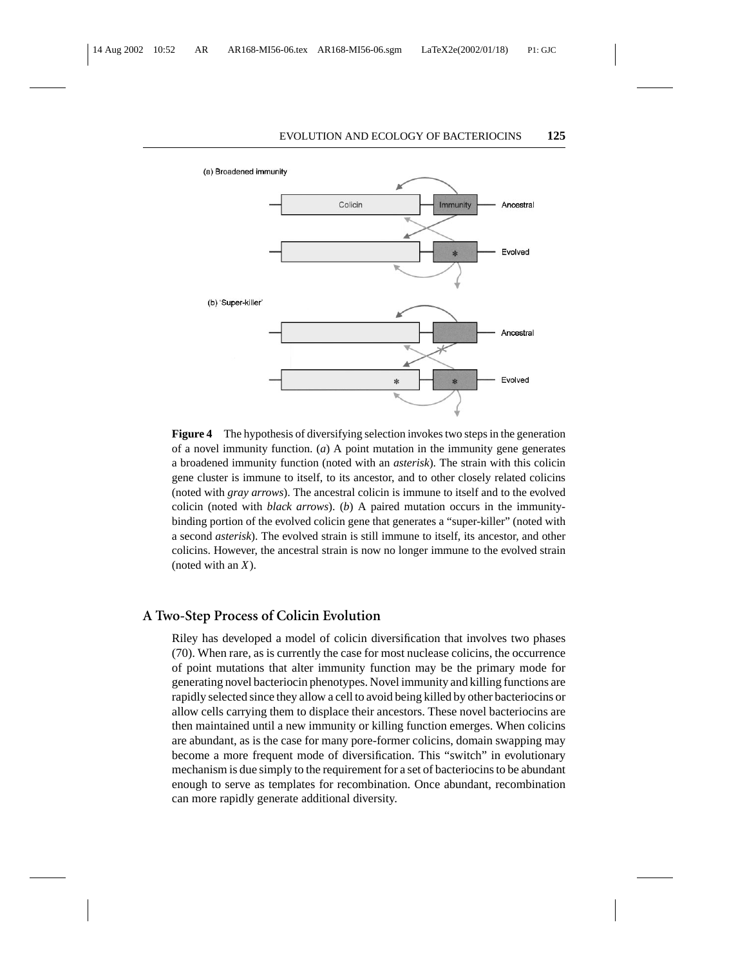

**Figure 4** The hypothesis of diversifying selection invokes two steps in the generation of a novel immunity function. (*a*) A point mutation in the immunity gene generates a broadened immunity function (noted with an *asterisk*). The strain with this colicin gene cluster is immune to itself, to its ancestor, and to other closely related colicins (noted with *gray arrows*). The ancestral colicin is immune to itself and to the evolved colicin (noted with *black arrows*). (*b*) A paired mutation occurs in the immunitybinding portion of the evolved colicin gene that generates a "super-killer" (noted with a second *asterisk*). The evolved strain is still immune to itself, its ancestor, and other colicins. However, the ancestral strain is now no longer immune to the evolved strain (noted with an *X*).

#### **A Two-Step Process of Colicin Evolution**

Riley has developed a model of colicin diversification that involves two phases (70). When rare, as is currently the case for most nuclease colicins, the occurrence of point mutations that alter immunity function may be the primary mode for generating novel bacteriocin phenotypes. Novel immunity and killing functions are rapidly selected since they allow a cell to avoid being killed by other bacteriocins or allow cells carrying them to displace their ancestors. These novel bacteriocins are then maintained until a new immunity or killing function emerges. When colicins are abundant, as is the case for many pore-former colicins, domain swapping may become a more frequent mode of diversification. This "switch" in evolutionary mechanism is due simply to the requirement for a set of bacteriocins to be abundant enough to serve as templates for recombination. Once abundant, recombination can more rapidly generate additional diversity.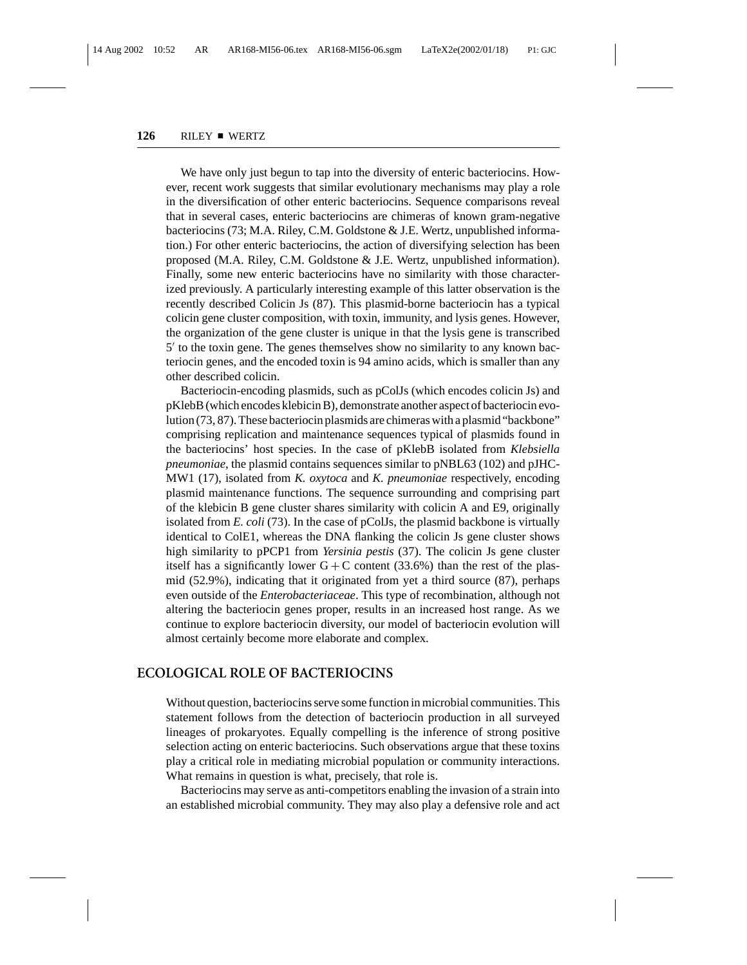We have only just begun to tap into the diversity of enteric bacteriocins. However, recent work suggests that similar evolutionary mechanisms may play a role in the diversification of other enteric bacteriocins. Sequence comparisons reveal that in several cases, enteric bacteriocins are chimeras of known gram-negative bacteriocins (73; M.A. Riley, C.M. Goldstone & J.E. Wertz, unpublished information.) For other enteric bacteriocins, the action of diversifying selection has been proposed (M.A. Riley, C.M. Goldstone & J.E. Wertz, unpublished information). Finally, some new enteric bacteriocins have no similarity with those characterized previously. A particularly interesting example of this latter observation is the recently described Colicin Js (87). This plasmid-borne bacteriocin has a typical colicin gene cluster composition, with toxin, immunity, and lysis genes. However, the organization of the gene cluster is unique in that the lysis gene is transcribed  $5'$  to the toxin gene. The genes themselves show no similarity to any known bacteriocin genes, and the encoded toxin is 94 amino acids, which is smaller than any other described colicin.

Bacteriocin-encoding plasmids, such as pColJs (which encodes colicin Js) and pKlebB (which encodes klebicin B), demonstrate another aspect of bacteriocin evolution (73, 87). These bacteriocin plasmids are chimeras with a plasmid "backbone" comprising replication and maintenance sequences typical of plasmids found in the bacteriocins' host species. In the case of pKlebB isolated from *Klebsiella pneumoniae*, the plasmid contains sequences similar to pNBL63 (102) and pJHC-MW1 (17), isolated from *K. oxytoca* and *K. pneumoniae* respectively, encoding plasmid maintenance functions. The sequence surrounding and comprising part of the klebicin B gene cluster shares similarity with colicin A and E9, originally isolated from *E. coli* (73). In the case of pColJs, the plasmid backbone is virtually identical to ColE1, whereas the DNA flanking the colicin Js gene cluster shows high similarity to pPCP1 from *Yersinia pestis* (37). The colicin Js gene cluster itself has a significantly lower  $G + C$  content (33.6%) than the rest of the plasmid (52.9%), indicating that it originated from yet a third source (87), perhaps even outside of the *Enterobacteriaceae*. This type of recombination, although not altering the bacteriocin genes proper, results in an increased host range. As we continue to explore bacteriocin diversity, our model of bacteriocin evolution will almost certainly become more elaborate and complex.

# **ECOLOGICAL ROLE OF BACTERIOCINS**

Without question, bacteriocins serve some function in microbial communities. This statement follows from the detection of bacteriocin production in all surveyed lineages of prokaryotes. Equally compelling is the inference of strong positive selection acting on enteric bacteriocins. Such observations argue that these toxins play a critical role in mediating microbial population or community interactions. What remains in question is what, precisely, that role is.

Bacteriocins may serve as anti-competitors enabling the invasion of a strain into an established microbial community. They may also play a defensive role and act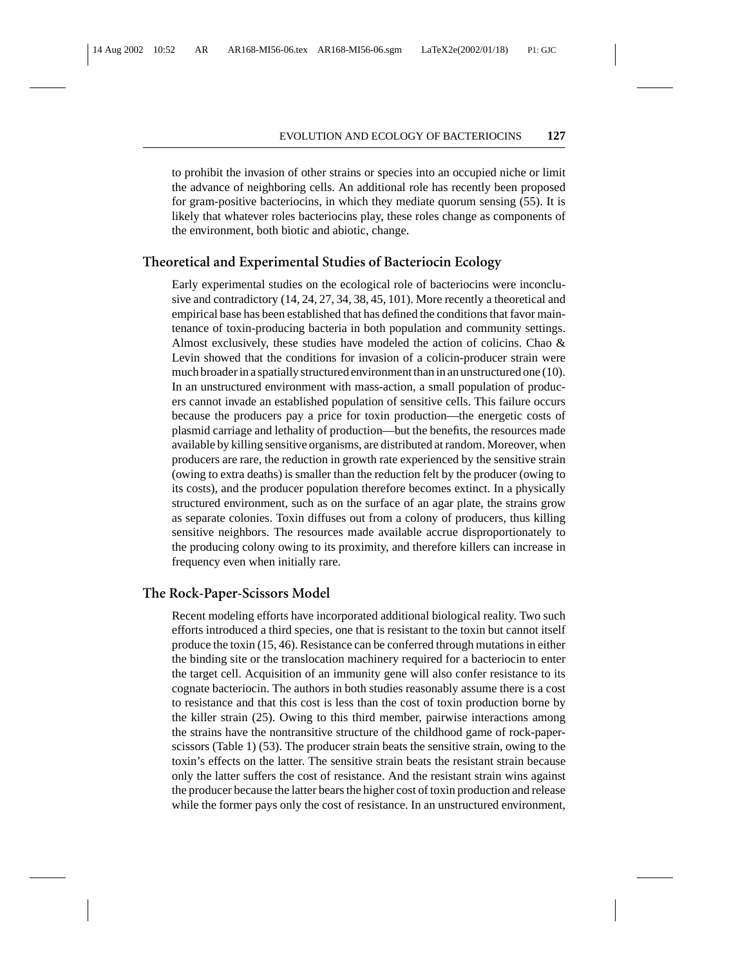to prohibit the invasion of other strains or species into an occupied niche or limit the advance of neighboring cells. An additional role has recently been proposed for gram-positive bacteriocins, in which they mediate quorum sensing (55). It is likely that whatever roles bacteriocins play, these roles change as components of the environment, both biotic and abiotic, change.

# **Theoretical and Experimental Studies of Bacteriocin Ecology**

Early experimental studies on the ecological role of bacteriocins were inconclusive and contradictory (14, 24, 27, 34, 38, 45, 101). More recently a theoretical and empirical base has been established that has defined the conditions that favor maintenance of toxin-producing bacteria in both population and community settings. Almost exclusively, these studies have modeled the action of colicins. Chao & Levin showed that the conditions for invasion of a colicin-producer strain were much broader in a spatially structured environment than in an unstructured one (10). In an unstructured environment with mass-action, a small population of producers cannot invade an established population of sensitive cells. This failure occurs because the producers pay a price for toxin production—the energetic costs of plasmid carriage and lethality of production—but the benefits, the resources made available by killing sensitive organisms, are distributed at random. Moreover, when producers are rare, the reduction in growth rate experienced by the sensitive strain (owing to extra deaths) is smaller than the reduction felt by the producer (owing to its costs), and the producer population therefore becomes extinct. In a physically structured environment, such as on the surface of an agar plate, the strains grow as separate colonies. Toxin diffuses out from a colony of producers, thus killing sensitive neighbors. The resources made available accrue disproportionately to the producing colony owing to its proximity, and therefore killers can increase in frequency even when initially rare.

## **The Rock-Paper-Scissors Model**

Recent modeling efforts have incorporated additional biological reality. Two such efforts introduced a third species, one that is resistant to the toxin but cannot itself produce the toxin (15, 46). Resistance can be conferred through mutations in either the binding site or the translocation machinery required for a bacteriocin to enter the target cell. Acquisition of an immunity gene will also confer resistance to its cognate bacteriocin. The authors in both studies reasonably assume there is a cost to resistance and that this cost is less than the cost of toxin production borne by the killer strain (25). Owing to this third member, pairwise interactions among the strains have the nontransitive structure of the childhood game of rock-paperscissors (Table 1) (53). The producer strain beats the sensitive strain, owing to the toxin's effects on the latter. The sensitive strain beats the resistant strain because only the latter suffers the cost of resistance. And the resistant strain wins against the producer because the latter bears the higher cost of toxin production and release while the former pays only the cost of resistance. In an unstructured environment,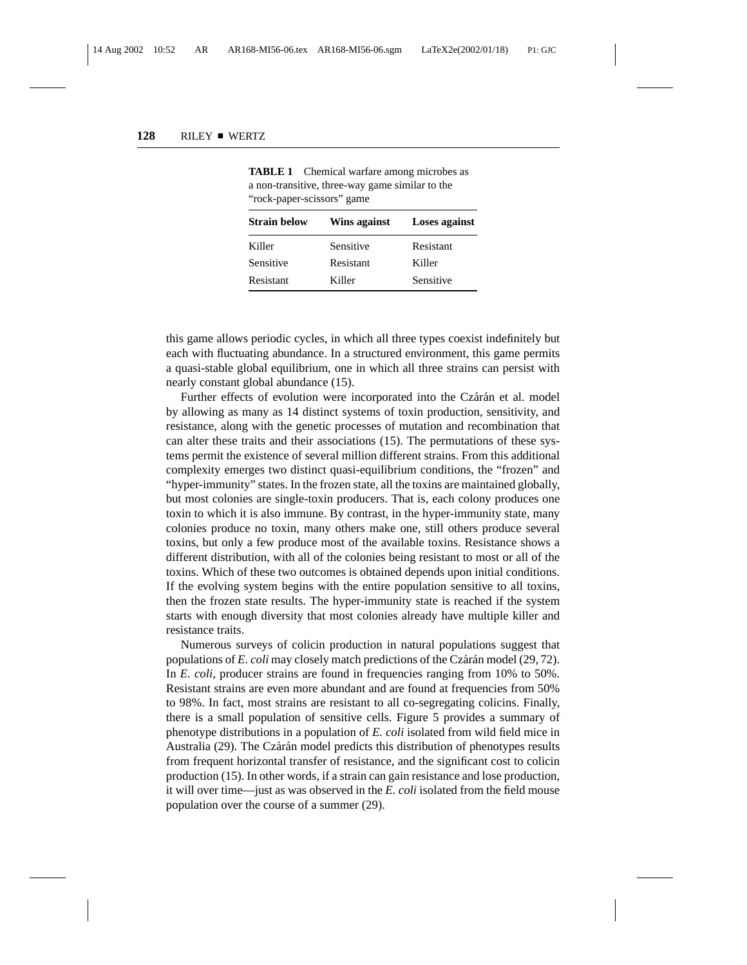| <b>Strain below</b> | Wins against | Loses against |
|---------------------|--------------|---------------|
| Killer              | Sensitive    | Resistant     |
| Sensitive           | Resistant    | Killer        |
| Resistant           | Killer       | Sensitive     |

**TABLE 1** Chemical warfare among microbes as a non-transitive, three-way game similar to the "rock-paper-scissors" game

this game allows periodic cycles, in which all three types coexist indefinitely but each with fluctuating abundance. In a structured environment, this game permits a quasi-stable global equilibrium, one in which all three strains can persist with nearly constant global abundance (15).

Further effects of evolution were incorporated into the Czárán et al. model by allowing as many as 14 distinct systems of toxin production, sensitivity, and resistance, along with the genetic processes of mutation and recombination that can alter these traits and their associations (15). The permutations of these systems permit the existence of several million different strains. From this additional complexity emerges two distinct quasi-equilibrium conditions, the "frozen" and "hyper-immunity" states. In the frozen state, all the toxins are maintained globally, but most colonies are single-toxin producers. That is, each colony produces one toxin to which it is also immune. By contrast, in the hyper-immunity state, many colonies produce no toxin, many others make one, still others produce several toxins, but only a few produce most of the available toxins. Resistance shows a different distribution, with all of the colonies being resistant to most or all of the toxins. Which of these two outcomes is obtained depends upon initial conditions. If the evolving system begins with the entire population sensitive to all toxins, then the frozen state results. The hyper-immunity state is reached if the system starts with enough diversity that most colonies already have multiple killer and resistance traits.

Numerous surveys of colicin production in natural populations suggest that populations of *E. coli* may closely match predictions of the Czárán model (29, 72). In *E. coli*, producer strains are found in frequencies ranging from 10% to 50%. Resistant strains are even more abundant and are found at frequencies from 50% to 98%. In fact, most strains are resistant to all co-segregating colicins. Finally, there is a small population of sensitive cells. Figure 5 provides a summary of phenotype distributions in a population of *E. coli* isolated from wild field mice in Australia (29). The Czárán model predicts this distribution of phenotypes results from frequent horizontal transfer of resistance, and the significant cost to colicin production (15). In other words, if a strain can gain resistance and lose production, it will over time—just as was observed in the *E. coli* isolated from the field mouse population over the course of a summer (29).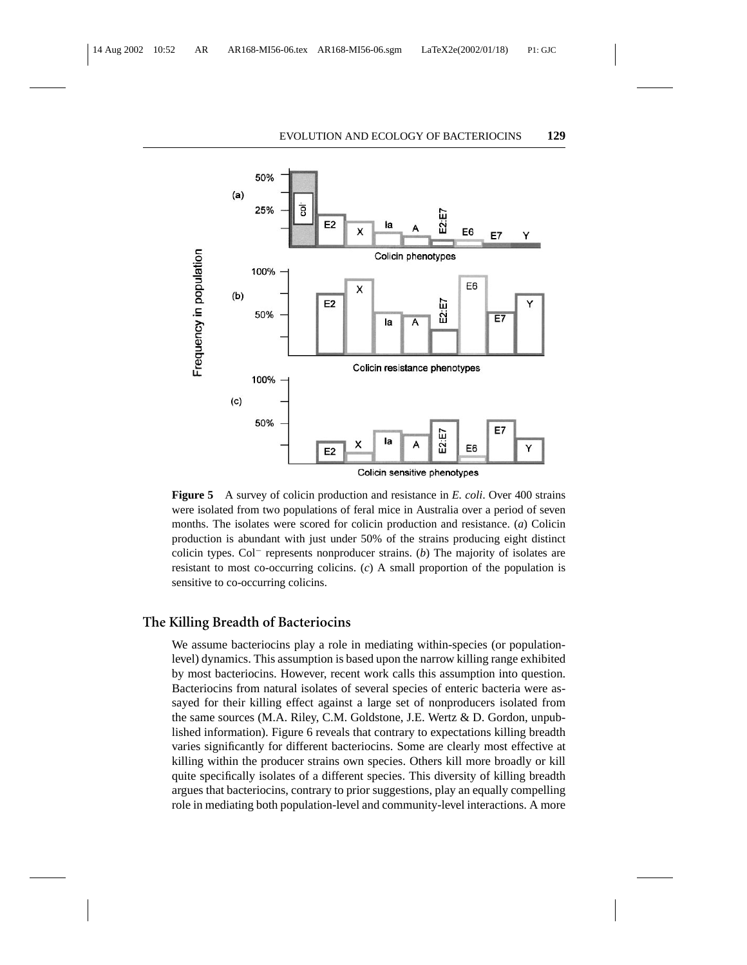

**Figure 5** A survey of colicin production and resistance in *E. coli*. Over 400 strains were isolated from two populations of feral mice in Australia over a period of seven months. The isolates were scored for colicin production and resistance. (*a*) Colicin production is abundant with just under 50% of the strains producing eight distinct colicin types. Col<sup>−</sup> represents nonproducer strains. (*b*) The majority of isolates are resistant to most co-occurring colicins. (*c*) A small proportion of the population is sensitive to co-occurring colicins.

#### **The Killing Breadth of Bacteriocins**

We assume bacteriocins play a role in mediating within-species (or populationlevel) dynamics. This assumption is based upon the narrow killing range exhibited by most bacteriocins. However, recent work calls this assumption into question. Bacteriocins from natural isolates of several species of enteric bacteria were assayed for their killing effect against a large set of nonproducers isolated from the same sources (M.A. Riley, C.M. Goldstone, J.E. Wertz & D. Gordon, unpublished information). Figure 6 reveals that contrary to expectations killing breadth varies significantly for different bacteriocins. Some are clearly most effective at killing within the producer strains own species. Others kill more broadly or kill quite specifically isolates of a different species. This diversity of killing breadth argues that bacteriocins, contrary to prior suggestions, play an equally compelling role in mediating both population-level and community-level interactions. A more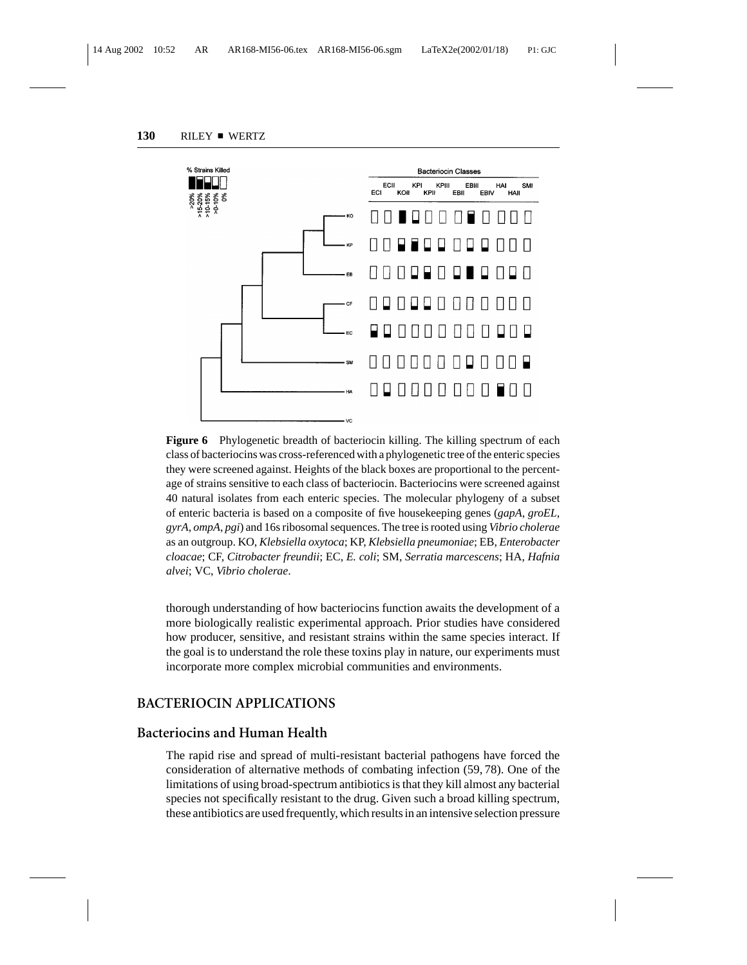

**Figure 6** Phylogenetic breadth of bacteriocin killing. The killing spectrum of each class of bacteriocins was cross-referenced with a phylogenetic tree of the enteric species they were screened against. Heights of the black boxes are proportional to the percentage of strains sensitive to each class of bacteriocin. Bacteriocins were screened against 40 natural isolates from each enteric species. The molecular phylogeny of a subset of enteric bacteria is based on a composite of five housekeeping genes (*gapA*, *groEL*, *gyrA*, *ompA*, *pgi*) and 16s ribosomal sequences. The tree is rooted using *Vibrio cholerae* as an outgroup. KO, *Klebsiella oxytoca*; KP, *Klebsiella pneumoniae*; EB, *Enterobacter cloacae*; CF, *Citrobacter freundii*; EC, *E. coli*; SM, *Serratia marcescens*; HA, *Hafnia alvei*; VC, *Vibrio cholerae*.

thorough understanding of how bacteriocins function awaits the development of a more biologically realistic experimental approach. Prior studies have considered how producer, sensitive, and resistant strains within the same species interact. If the goal is to understand the role these toxins play in nature, our experiments must incorporate more complex microbial communities and environments.

# **BACTERIOCIN APPLICATIONS**

# **Bacteriocins and Human Health**

The rapid rise and spread of multi-resistant bacterial pathogens have forced the consideration of alternative methods of combating infection (59, 78). One of the limitations of using broad-spectrum antibiotics is that they kill almost any bacterial species not specifically resistant to the drug. Given such a broad killing spectrum, these antibiotics are used frequently, which results in an intensive selection pressure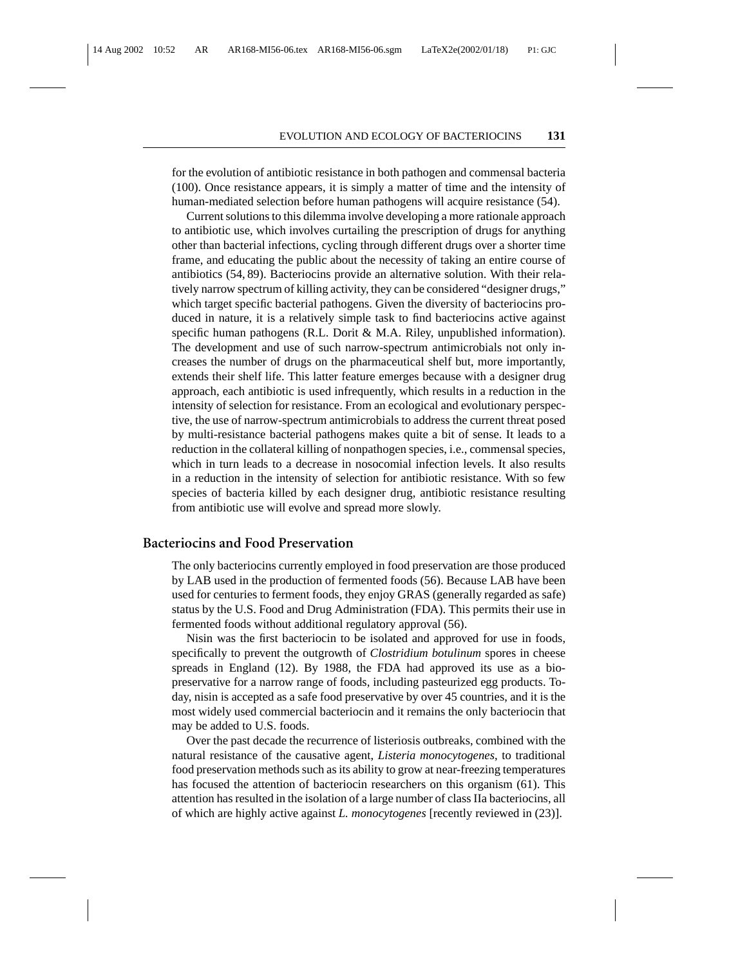for the evolution of antibiotic resistance in both pathogen and commensal bacteria (100). Once resistance appears, it is simply a matter of time and the intensity of human-mediated selection before human pathogens will acquire resistance (54).

Current solutions to this dilemma involve developing a more rationale approach to antibiotic use, which involves curtailing the prescription of drugs for anything other than bacterial infections, cycling through different drugs over a shorter time frame, and educating the public about the necessity of taking an entire course of antibiotics (54, 89). Bacteriocins provide an alternative solution. With their relatively narrow spectrum of killing activity, they can be considered "designer drugs," which target specific bacterial pathogens. Given the diversity of bacteriocins produced in nature, it is a relatively simple task to find bacteriocins active against specific human pathogens (R.L. Dorit & M.A. Riley, unpublished information). The development and use of such narrow-spectrum antimicrobials not only increases the number of drugs on the pharmaceutical shelf but, more importantly, extends their shelf life. This latter feature emerges because with a designer drug approach, each antibiotic is used infrequently, which results in a reduction in the intensity of selection for resistance. From an ecological and evolutionary perspective, the use of narrow-spectrum antimicrobials to address the current threat posed by multi-resistance bacterial pathogens makes quite a bit of sense. It leads to a reduction in the collateral killing of nonpathogen species, i.e., commensal species, which in turn leads to a decrease in nosocomial infection levels. It also results in a reduction in the intensity of selection for antibiotic resistance. With so few species of bacteria killed by each designer drug, antibiotic resistance resulting from antibiotic use will evolve and spread more slowly.

## **Bacteriocins and Food Preservation**

The only bacteriocins currently employed in food preservation are those produced by LAB used in the production of fermented foods (56). Because LAB have been used for centuries to ferment foods, they enjoy GRAS (generally regarded as safe) status by the U.S. Food and Drug Administration (FDA). This permits their use in fermented foods without additional regulatory approval (56).

Nisin was the first bacteriocin to be isolated and approved for use in foods, specifically to prevent the outgrowth of *Clostridium botulinum* spores in cheese spreads in England (12). By 1988, the FDA had approved its use as a biopreservative for a narrow range of foods, including pasteurized egg products. Today, nisin is accepted as a safe food preservative by over 45 countries, and it is the most widely used commercial bacteriocin and it remains the only bacteriocin that may be added to U.S. foods.

Over the past decade the recurrence of listeriosis outbreaks, combined with the natural resistance of the causative agent, *Listeria monocytogenes*, to traditional food preservation methods such as its ability to grow at near-freezing temperatures has focused the attention of bacteriocin researchers on this organism (61). This attention has resulted in the isolation of a large number of class IIa bacteriocins, all of which are highly active against *L. monocytogenes* [recently reviewed in (23)].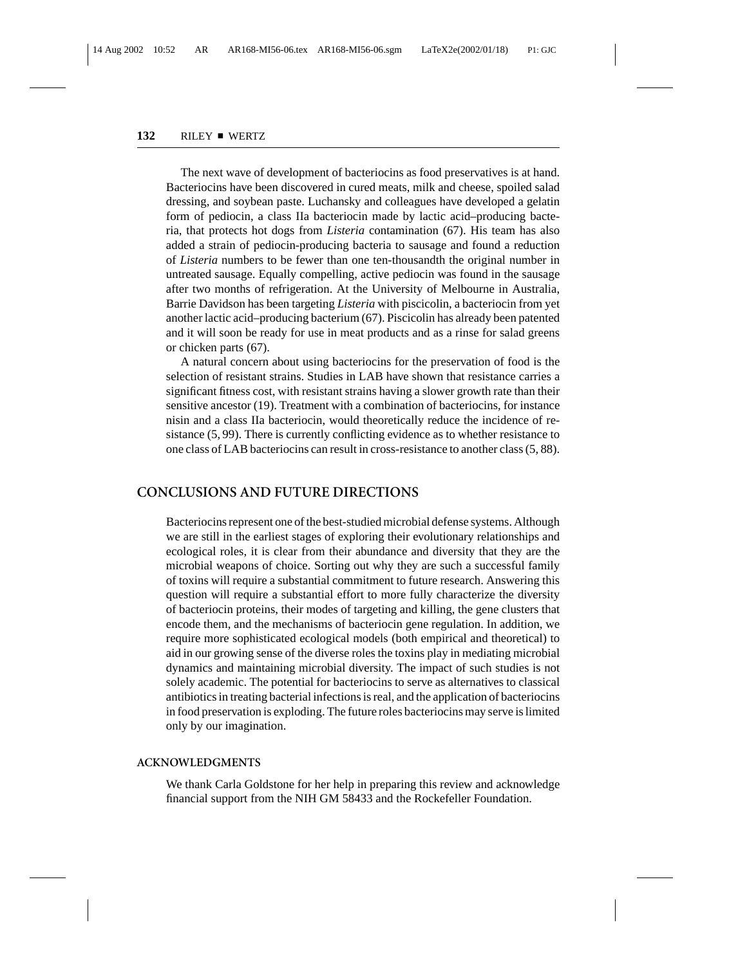The next wave of development of bacteriocins as food preservatives is at hand. Bacteriocins have been discovered in cured meats, milk and cheese, spoiled salad dressing, and soybean paste. Luchansky and colleagues have developed a gelatin form of pediocin, a class IIa bacteriocin made by lactic acid–producing bacteria, that protects hot dogs from *Listeria* contamination (67). His team has also added a strain of pediocin-producing bacteria to sausage and found a reduction of *Listeria* numbers to be fewer than one ten-thousandth the original number in untreated sausage. Equally compelling, active pediocin was found in the sausage after two months of refrigeration. At the University of Melbourne in Australia, Barrie Davidson has been targeting *Listeria* with piscicolin, a bacteriocin from yet another lactic acid–producing bacterium (67). Piscicolin has already been patented and it will soon be ready for use in meat products and as a rinse for salad greens or chicken parts (67).

A natural concern about using bacteriocins for the preservation of food is the selection of resistant strains. Studies in LAB have shown that resistance carries a significant fitness cost, with resistant strains having a slower growth rate than their sensitive ancestor (19). Treatment with a combination of bacteriocins, for instance nisin and a class IIa bacteriocin, would theoretically reduce the incidence of resistance (5, 99). There is currently conflicting evidence as to whether resistance to one class of LAB bacteriocins can result in cross-resistance to another class (5, 88).

## **CONCLUSIONS AND FUTURE DIRECTIONS**

Bacteriocins represent one of the best-studied microbial defense systems. Although we are still in the earliest stages of exploring their evolutionary relationships and ecological roles, it is clear from their abundance and diversity that they are the microbial weapons of choice. Sorting out why they are such a successful family of toxins will require a substantial commitment to future research. Answering this question will require a substantial effort to more fully characterize the diversity of bacteriocin proteins, their modes of targeting and killing, the gene clusters that encode them, and the mechanisms of bacteriocin gene regulation. In addition, we require more sophisticated ecological models (both empirical and theoretical) to aid in our growing sense of the diverse roles the toxins play in mediating microbial dynamics and maintaining microbial diversity. The impact of such studies is not solely academic. The potential for bacteriocins to serve as alternatives to classical antibiotics in treating bacterial infections is real, and the application of bacteriocins in food preservation is exploding. The future roles bacteriocins may serve is limited only by our imagination.

#### **ACKNOWLEDGMENTS**

We thank Carla Goldstone for her help in preparing this review and acknowledge financial support from the NIH GM 58433 and the Rockefeller Foundation.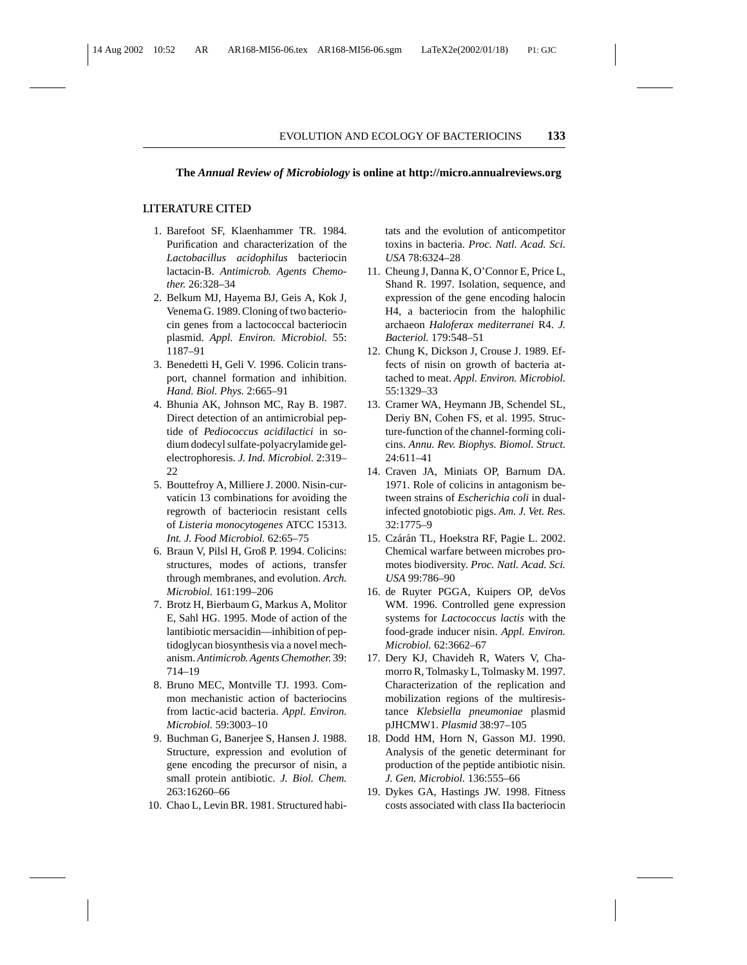#### **The** *Annual Review of Microbiology* **is online at http://micro.annualreviews.org**

#### **LITERATURE CITED**

- 1. Barefoot SF, Klaenhammer TR. 1984. Purification and characterization of the *Lactobacillus acidophilus* bacteriocin lactacin-B. *Antimicrob. Agents Chemother.* 26:328–34
- 2. Belkum MJ, Hayema BJ, Geis A, Kok J, Venema G. 1989. Cloning of two bacteriocin genes from a lactococcal bacteriocin plasmid. *Appl. Environ. Microbiol.* 55: 1187–91
- 3. Benedetti H, Geli V. 1996. Colicin transport, channel formation and inhibition. *Hand. Biol. Phys.* 2:665–91
- 4. Bhunia AK, Johnson MC, Ray B. 1987. Direct detection of an antimicrobial peptide of *Pediococcus acidilactici* in sodium dodecyl sulfate-polyacrylamide gelelectrophoresis. *J. Ind. Microbiol.* 2:319– 22
- 5. Bouttefroy A, Milliere J. 2000. Nisin-curvaticin 13 combinations for avoiding the regrowth of bacteriocin resistant cells of *Listeria monocytogenes* ATCC 15313. *Int. J. Food Microbiol.* 62:65–75
- 6. Braun V, Pilsl H, Groß P. 1994. Colicins: structures, modes of actions, transfer through membranes, and evolution. *Arch. Microbiol.* 161:199–206
- 7. Brotz H, Bierbaum G, Markus A, Molitor E, Sahl HG. 1995. Mode of action of the lantibiotic mersacidin—inhibition of peptidoglycan biosynthesis via a novel mechanism.*Antimicrob. Agents Chemother.* 39: 714–19
- 8. Bruno MEC, Montville TJ. 1993. Common mechanistic action of bacteriocins from lactic-acid bacteria. *Appl. Environ. Microbiol.* 59:3003–10
- 9. Buchman G, Banerjee S, Hansen J. 1988. Structure, expression and evolution of gene encoding the precursor of nisin, a small protein antibiotic. *J. Biol. Chem.* 263:16260–66
- 10. Chao L, Levin BR. 1981. Structured habi-

tats and the evolution of anticompetitor toxins in bacteria. *Proc. Natl. Acad. Sci. USA* 78:6324–28

- 11. Cheung J, Danna K, O'Connor E, Price L, Shand R. 1997. Isolation, sequence, and expression of the gene encoding halocin H4, a bacteriocin from the halophilic archaeon *Haloferax mediterranei* R4. *J. Bacteriol.* 179:548–51
- 12. Chung K, Dickson J, Crouse J. 1989. Effects of nisin on growth of bacteria attached to meat. *Appl. Environ. Microbiol.* 55:1329–33
- 13. Cramer WA, Heymann JB, Schendel SL, Deriy BN, Cohen FS, et al. 1995. Structure-function of the channel-forming colicins. *Annu. Rev. Biophys. Biomol. Struct.* 24:611–41
- 14. Craven JA, Miniats OP, Barnum DA. 1971. Role of colicins in antagonism between strains of *Escherichia coli* in dualinfected gnotobiotic pigs. *Am. J. Vet. Res.* 32:1775–9
- 15. Czárán TL, Hoekstra RF, Pagie L. 2002. Chemical warfare between microbes promotes biodiversity. *Proc. Natl. Acad. Sci. USA* 99:786–90
- 16. de Ruyter PGGA, Kuipers OP, deVos WM. 1996. Controlled gene expression systems for *Lactococcus lactis* with the food-grade inducer nisin. *Appl. Environ. Microbiol.* 62:3662–67
- 17. Dery KJ, Chavideh R, Waters V, Chamorro R, Tolmasky L, Tolmasky M. 1997. Characterization of the replication and mobilization regions of the multiresistance *Klebsiella pneumoniae* plasmid pJHCMW1. *Plasmid* 38:97–105
- 18. Dodd HM, Horn N, Gasson MJ. 1990. Analysis of the genetic determinant for production of the peptide antibiotic nisin. *J. Gen. Microbiol.* 136:555–66
- 19. Dykes GA, Hastings JW. 1998. Fitness costs associated with class IIa bacteriocin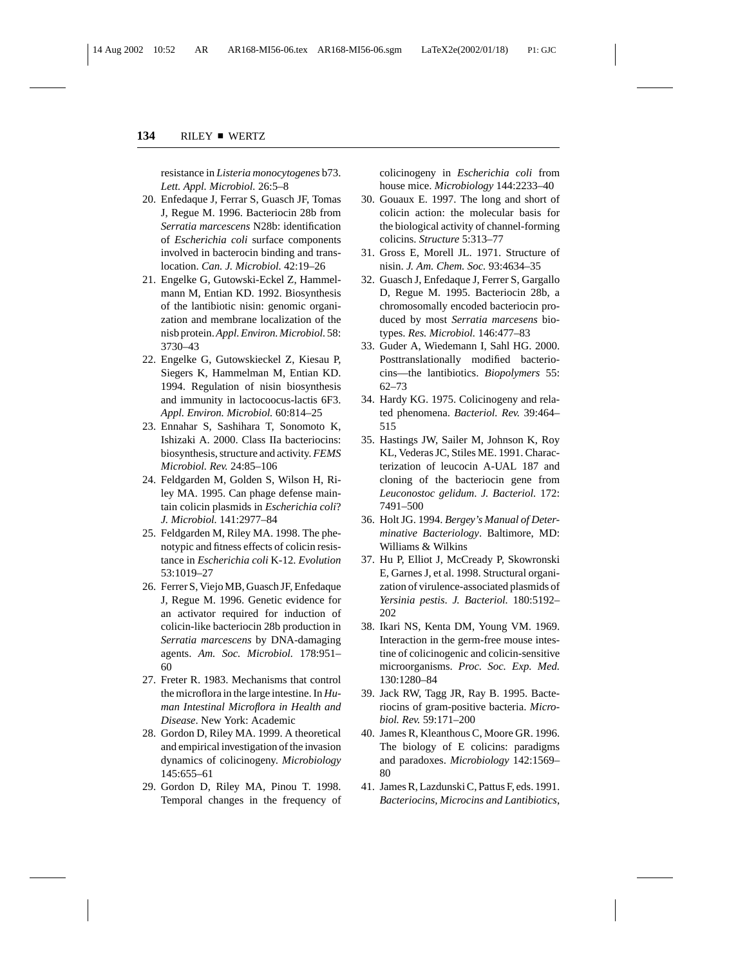resistance in *Listeria monocytogenes* b73. *Lett. Appl. Microbiol.* 26:5–8

- 20. Enfedaque J, Ferrar S, Guasch JF, Tomas J, Regue M. 1996. Bacteriocin 28b from *Serratia marcescens* N28b: identification of *Escherichia coli* surface components involved in bacterocin binding and translocation. *Can. J. Microbiol.* 42:19–26
- 21. Engelke G, Gutowski-Eckel Z, Hammelmann M, Entian KD. 1992. Biosynthesis of the lantibiotic nisin: genomic organization and membrane localization of the nisb protein.*Appl. Environ. Microbiol.* 58: 3730–43
- 22. Engelke G, Gutowskieckel Z, Kiesau P, Siegers K, Hammelman M, Entian KD. 1994. Regulation of nisin biosynthesis and immunity in lactocoocus-lactis 6F3. *Appl. Environ. Microbiol.* 60:814–25
- 23. Ennahar S, Sashihara T, Sonomoto K, Ishizaki A. 2000. Class IIa bacteriocins: biosynthesis, structure and activity.*FEMS Microbiol. Rev.* 24:85–106
- 24. Feldgarden M, Golden S, Wilson H, Riley MA. 1995. Can phage defense maintain colicin plasmids in *Escherichia coli*? *J. Microbiol.* 141:2977–84
- 25. Feldgarden M, Riley MA. 1998. The phenotypic and fitness effects of colicin resistance in *Escherichia coli* K-12. *Evolution* 53:1019–27
- 26. Ferrer S, Viejo MB, Guasch JF, Enfedaque J, Regue M. 1996. Genetic evidence for an activator required for induction of colicin-like bacteriocin 28b production in *Serratia marcescens* by DNA-damaging agents. *Am. Soc. Microbiol.* 178:951– 60
- 27. Freter R. 1983. Mechanisms that control the microflora in the large intestine. In *Human Intestinal Microflora in Health and Disease*. New York: Academic
- 28. Gordon D, Riley MA. 1999. A theoretical and empirical investigation of the invasion dynamics of colicinogeny. *Microbiology* 145:655–61
- 29. Gordon D, Riley MA, Pinou T. 1998. Temporal changes in the frequency of

colicinogeny in *Escherichia coli* from house mice. *Microbiology* 144:2233–40

- 30. Gouaux E. 1997. The long and short of colicin action: the molecular basis for the biological activity of channel-forming colicins. *Structure* 5:313–77
- 31. Gross E, Morell JL. 1971. Structure of nisin. *J. Am. Chem. Soc.* 93:4634–35
- 32. Guasch J, Enfedaque J, Ferrer S, Gargallo D, Regue M. 1995. Bacteriocin 28b, a chromosomally encoded bacteriocin produced by most *Serratia marcesens* biotypes. *Res. Microbiol.* 146:477–83
- 33. Guder A, Wiedemann I, Sahl HG. 2000. Posttranslationally modified bacteriocins—the lantibiotics. *Biopolymers* 55: 62–73
- 34. Hardy KG. 1975. Colicinogeny and related phenomena. *Bacteriol. Rev.* 39:464– 515
- 35. Hastings JW, Sailer M, Johnson K, Roy KL, Vederas JC, Stiles ME. 1991. Characterization of leucocin A-UAL 187 and cloning of the bacteriocin gene from *Leuconostoc gelidum*. *J. Bacteriol.* 172: 7491–500
- 36. Holt JG. 1994. *Bergey's Manual of Determinative Bacteriology*. Baltimore, MD: Williams & Wilkins
- 37. Hu P, Elliot J, McCready P, Skowronski E, Garnes J, et al. 1998. Structural organization of virulence-associated plasmids of *Yersinia pestis*. *J. Bacteriol.* 180:5192– 202
- 38. Ikari NS, Kenta DM, Young VM. 1969. Interaction in the germ-free mouse intestine of colicinogenic and colicin-sensitive microorganisms. *Proc. Soc. Exp. Med.* 130:1280–84
- 39. Jack RW, Tagg JR, Ray B. 1995. Bacteriocins of gram-positive bacteria. *Microbiol. Rev.* 59:171–200
- 40. James R, Kleanthous C, Moore GR. 1996. The biology of E colicins: paradigms and paradoxes. *Microbiology* 142:1569– 80
- 41. James R, Lazdunski C, Pattus F, eds. 1991. *Bacteriocins, Microcins and Lantibiotics*,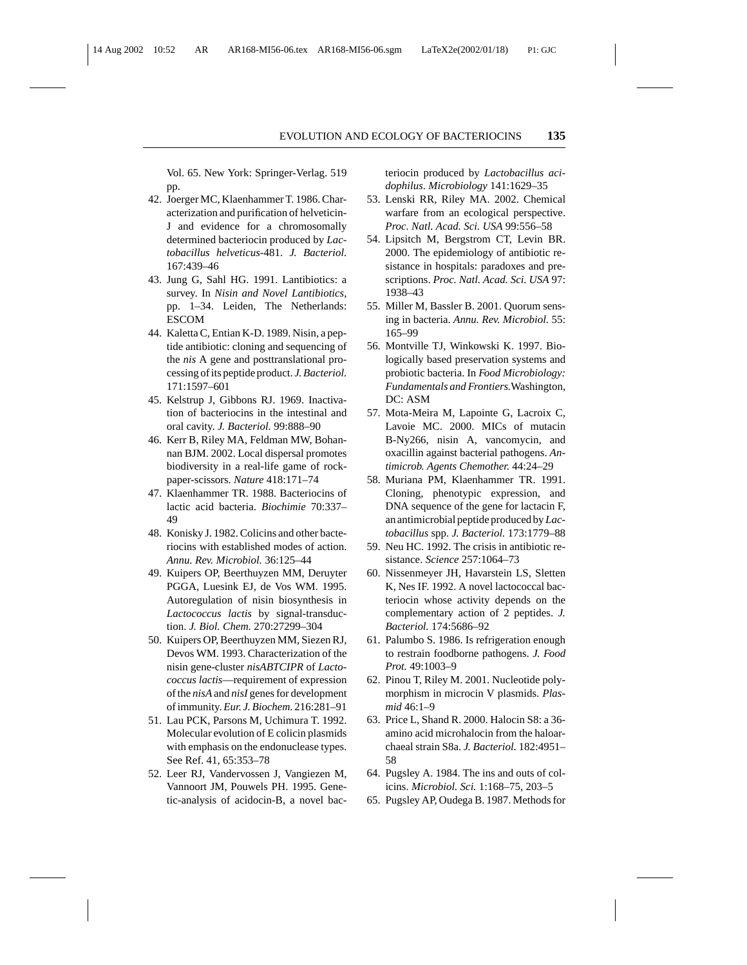Vol. 65. New York: Springer-Verlag. 519 pp.

- 42. Joerger MC, Klaenhammer T. 1986. Characterization and purification of helveticin-J and evidence for a chromosomally determined bacteriocin produced by *Lactobacillus helveticus*-481. *J. Bacteriol.* 167:439–46
- 43. Jung G, Sahl HG. 1991. Lantibiotics: a survey. In *Nisin and Novel Lantibiotics*, pp. 1–34. Leiden, The Netherlands: ESCOM
- 44. Kaletta C, Entian K-D. 1989. Nisin, a peptide antibiotic: cloning and sequencing of the *nis* A gene and posttranslational processing of its peptide product. *J. Bacteriol.* 171:1597–601
- 45. Kelstrup J, Gibbons RJ. 1969. Inactivation of bacteriocins in the intestinal and oral cavity. *J. Bacteriol.* 99:888–90
- 46. Kerr B, Riley MA, Feldman MW, Bohannan BJM. 2002. Local dispersal promotes biodiversity in a real-life game of rockpaper-scissors. *Nature* 418:171–74
- 47. Klaenhammer TR. 1988. Bacteriocins of lactic acid bacteria. *Biochimie* 70:337– 49
- 48. Konisky J. 1982. Colicins and other bacteriocins with established modes of action. *Annu. Rev. Microbiol.* 36:125–44
- 49. Kuipers OP, Beerthuyzen MM, Deruyter PGGA, Luesink EJ, de Vos WM. 1995. Autoregulation of nisin biosynthesis in *Lactococcus lactis* by signal-transduction. *J. Biol. Chem.* 270:27299–304
- 50. Kuipers OP, Beerthuyzen MM, Siezen RJ, Devos WM. 1993. Characterization of the nisin gene-cluster *nisABTCIPR* of *Lactococcus lactis*—requirement of expression of the *nisA* and *nisI* genes for development of immunity.*Eur. J. Biochem.* 216:281–91
- 51. Lau PCK, Parsons M, Uchimura T. 1992. Molecular evolution of E colicin plasmids with emphasis on the endonuclease types. See Ref. 41, 65:353–78
- 52. Leer RJ, Vandervossen J, Vangiezen M, Vannoort JM, Pouwels PH. 1995. Genetic-analysis of acidocin-B, a novel bac-

teriocin produced by *Lactobacillus acidophilus*. *Microbiology* 141:1629–35

- 53. Lenski RR, Riley MA. 2002. Chemical warfare from an ecological perspective. *Proc. Natl. Acad. Sci. USA* 99:556–58
- 54. Lipsitch M, Bergstrom CT, Levin BR. 2000. The epidemiology of antibiotic resistance in hospitals: paradoxes and prescriptions. *Proc. Natl. Acad. Sci. USA* 97: 1938–43
- 55. Miller M, Bassler B. 2001. Quorum sensing in bacteria. *Annu. Rev. Microbiol.* 55: 165–99
- 56. Montville TJ, Winkowski K. 1997. Biologically based preservation systems and probiotic bacteria. In *Food Microbiology: Fundamentals and Frontiers.*Washington, DC: ASM
- 57. Mota-Meira M, Lapointe G, Lacroix C, Lavoie MC. 2000. MICs of mutacin B-Ny266, nisin A, vancomycin, and oxacillin against bacterial pathogens. *Antimicrob. Agents Chemother.* 44:24–29
- 58. Muriana PM, Klaenhammer TR. 1991. Cloning, phenotypic expression, and DNA sequence of the gene for lactacin F, an antimicrobial peptide produced by *Lactobacillus* spp. *J. Bacteriol.* 173:1779–88
- 59. Neu HC. 1992. The crisis in antibiotic resistance. *Science* 257:1064–73
- 60. Nissenmeyer JH, Havarstein LS, Sletten K, Nes IF. 1992. A novel lactococcal bacteriocin whose activity depends on the complementary action of 2 peptides. *J. Bacteriol.* 174:5686–92
- 61. Palumbo S. 1986. Is refrigeration enough to restrain foodborne pathogens. *J. Food Prot.* 49:1003–9
- 62. Pinou T, Riley M. 2001. Nucleotide polymorphism in microcin V plasmids. *Plasmid* 46:1–9
- 63. Price L, Shand R. 2000. Halocin S8: a 36 amino acid microhalocin from the haloarchaeal strain S8a. *J. Bacteriol.* 182:4951– 58
- 64. Pugsley A. 1984. The ins and outs of colicins. *Microbiol. Sci.* 1:168–75, 203–5
- 65. Pugsley AP, Oudega B. 1987. Methods for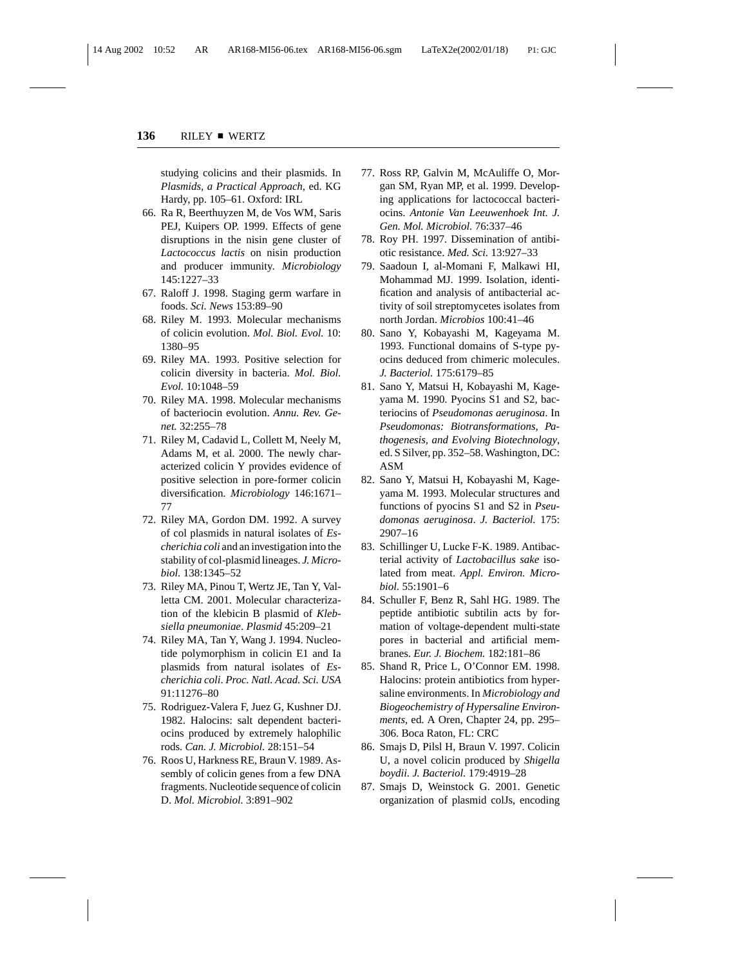studying colicins and their plasmids. In *Plasmids, a Practical Approach*, ed. KG Hardy, pp. 105–61. Oxford: IRL

- 66. Ra R, Beerthuyzen M, de Vos WM, Saris PEJ, Kuipers OP. 1999. Effects of gene disruptions in the nisin gene cluster of *Lactococcus lactis* on nisin production and producer immunity. *Microbiology* 145:1227–33
- 67. Raloff J. 1998. Staging germ warfare in foods. *Sci. News* 153:89–90
- 68. Riley M. 1993. Molecular mechanisms of colicin evolution. *Mol. Biol. Evol.* 10: 1380–95
- 69. Riley MA. 1993. Positive selection for colicin diversity in bacteria. *Mol. Biol. Evol.* 10:1048–59
- 70. Riley MA. 1998. Molecular mechanisms of bacteriocin evolution. *Annu. Rev. Genet.* 32:255–78
- 71. Riley M, Cadavid L, Collett M, Neely M, Adams M, et al. 2000. The newly characterized colicin Y provides evidence of positive selection in pore-former colicin diversification. *Microbiology* 146:1671– 77
- 72. Riley MA, Gordon DM. 1992. A survey of col plasmids in natural isolates of *Escherichia coli* and an investigation into the stability of col-plasmid lineages. *J. Microbiol.* 138:1345–52
- 73. Riley MA, Pinou T, Wertz JE, Tan Y, Valletta CM. 2001. Molecular characterization of the klebicin B plasmid of *Klebsiella pneumoniae*. *Plasmid* 45:209–21
- 74. Riley MA, Tan Y, Wang J. 1994. Nucleotide polymorphism in colicin E1 and Ia plasmids from natural isolates of *Escherichia coli*. *Proc. Natl. Acad. Sci. USA* 91:11276–80
- 75. Rodriguez-Valera F, Juez G, Kushner DJ. 1982. Halocins: salt dependent bacteriocins produced by extremely halophilic rods. *Can. J. Microbiol.* 28:151–54
- 76. Roos U, Harkness RE, Braun V. 1989. Assembly of colicin genes from a few DNA fragments. Nucleotide sequence of colicin D. *Mol. Microbiol.* 3:891–902
- 77. Ross RP, Galvin M, McAuliffe O, Morgan SM, Ryan MP, et al. 1999. Developing applications for lactococcal bacteriocins. *Antonie Van Leeuwenhoek Int. J. Gen. Mol. Microbiol.* 76:337–46
- 78. Roy PH. 1997. Dissemination of antibiotic resistance. *Med. Sci.* 13:927–33
- 79. Saadoun I, al-Momani F, Malkawi HI, Mohammad MJ. 1999. Isolation, identification and analysis of antibacterial activity of soil streptomycetes isolates from north Jordan. *Microbios* 100:41–46
- 80. Sano Y, Kobayashi M, Kageyama M. 1993. Functional domains of S-type pyocins deduced from chimeric molecules. *J. Bacteriol.* 175:6179–85
- 81. Sano Y, Matsui H, Kobayashi M, Kageyama M. 1990. Pyocins S1 and S2, bacteriocins of *Pseudomonas aeruginosa*. In *Pseudomonas: Biotransformations, Pathogenesis, and Evolving Biotechnology*, ed. S Silver, pp. 352–58. Washington, DC: ASM
- 82. Sano Y, Matsui H, Kobayashi M, Kageyama M. 1993. Molecular structures and functions of pyocins S1 and S2 in *Pseudomonas aeruginosa*. *J. Bacteriol.* 175: 2907–16
- 83. Schillinger U, Lucke F-K. 1989. Antibacterial activity of *Lactobacillus sake* isolated from meat. *Appl. Environ. Microbiol.* 55:1901–6
- 84. Schuller F, Benz R, Sahl HG. 1989. The peptide antibiotic subtilin acts by formation of voltage-dependent multi-state pores in bacterial and artificial membranes. *Eur. J. Biochem.* 182:181–86
- 85. Shand R, Price L, O'Connor EM. 1998. Halocins: protein antibiotics from hypersaline environments. In *Microbiology and Biogeochemistry of Hypersaline Environments*, ed. A Oren, Chapter 24, pp. 295– 306. Boca Raton, FL: CRC
- 86. Smajs D, Pilsl H, Braun V. 1997. Colicin U, a novel colicin produced by *Shigella boydii. J. Bacteriol.* 179:4919–28
- 87. Smajs D, Weinstock G. 2001. Genetic organization of plasmid colJs, encoding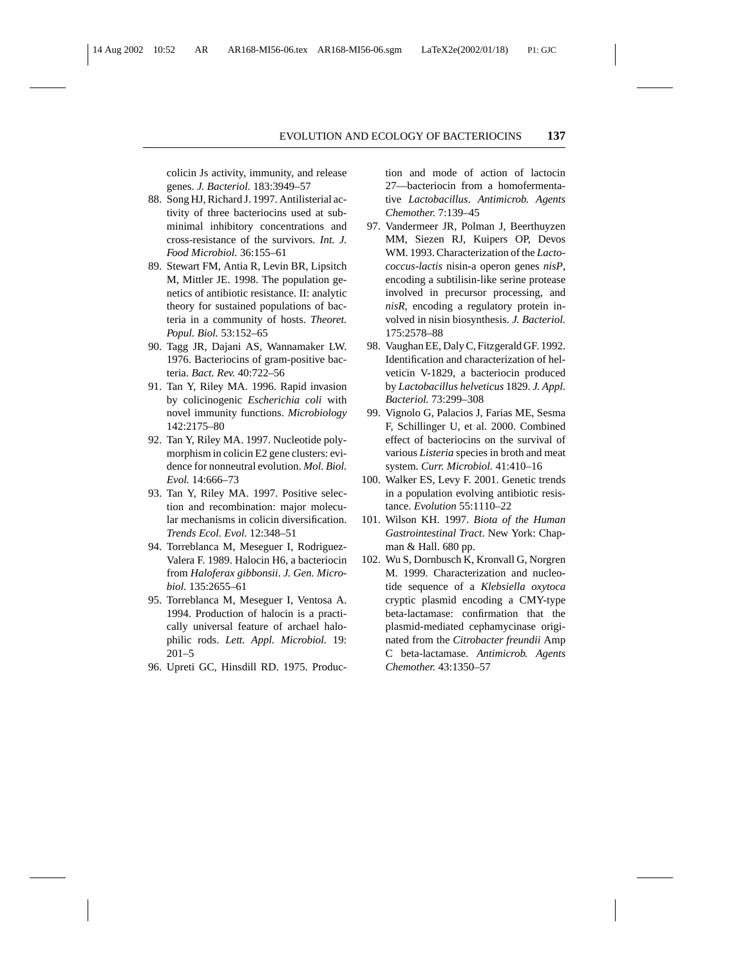colicin Js activity, immunity, and release genes. *J. Bacteriol.* 183:3949–57

- 88. Song HJ, Richard J. 1997. Antilisterial activity of three bacteriocins used at subminimal inhibitory concentrations and cross-resistance of the survivors. *Int. J. Food Microbiol.* 36:155–61
- 89. Stewart FM, Antia R, Levin BR, Lipsitch M, Mittler JE. 1998. The population genetics of antibiotic resistance. II: analytic theory for sustained populations of bacteria in a community of hosts. *Theoret. Popul. Biol.* 53:152–65
- 90. Tagg JR, Dajani AS, Wannamaker LW. 1976. Bacteriocins of gram-positive bacteria. *Bact. Rev.* 40:722–56
- 91. Tan Y, Riley MA. 1996. Rapid invasion by colicinogenic *Escherichia coli* with novel immunity functions. *Microbiology* 142:2175–80
- 92. Tan Y, Riley MA. 1997. Nucleotide polymorphism in colicin E2 gene clusters: evidence for nonneutral evolution. *Mol. Biol. Evol.* 14:666–73
- 93. Tan Y, Riley MA. 1997. Positive selection and recombination: major molecular mechanisms in colicin diversification. *Trends Ecol. Evol.* 12:348–51
- 94. Torreblanca M, Meseguer I, Rodriguez-Valera F. 1989. Halocin H6, a bacteriocin from *Haloferax gibbonsii*. *J. Gen. Microbiol.* 135:2655–61
- 95. Torreblanca M, Meseguer I, Ventosa A. 1994. Production of halocin is a practically universal feature of archael halophilic rods. *Lett. Appl. Microbiol.* 19: 201–5
- 96. Upreti GC, Hinsdill RD. 1975. Produc-

tion and mode of action of lactocin 27—bacteriocin from a homofermentative *Lactobacillus*. *Antimicrob. Agents Chemother.* 7:139–45

- 97. Vandermeer JR, Polman J, Beerthuyzen MM, Siezen RJ, Kuipers OP, Devos WM. 1993. Characterization of the *Lactococcus-lactis* nisin-a operon genes *nisP*, encoding a subtilisin-like serine protease involved in precursor processing, and *nisR*, encoding a regulatory protein involved in nisin biosynthesis. *J. Bacteriol.* 175:2578–88
- 98. Vaughan EE, Daly C, Fitzgerald GF. 1992. Identification and characterization of helveticin V-1829, a bacteriocin produced by *Lactobacillus helveticus* 1829. *J. Appl. Bacteriol.* 73:299–308
- 99. Vignolo G, Palacios J, Farias ME, Sesma F, Schillinger U, et al. 2000. Combined effect of bacteriocins on the survival of various *Listeria* species in broth and meat system. *Curr. Microbiol.* 41:410–16
- 100. Walker ES, Levy F. 2001. Genetic trends in a population evolving antibiotic resistance. *Evolution* 55:1110–22
- 101. Wilson KH. 1997. *Biota of the Human Gastrointestinal Tract*. New York: Chapman & Hall. 680 pp.
- 102. Wu S, Dornbusch K, Kronvall G, Norgren M. 1999. Characterization and nucleotide sequence of a *Klebsiella oxytoca* cryptic plasmid encoding a CMY-type beta-lactamase: confirmation that the plasmid-mediated cephamycinase originated from the *Citrobacter freundii* Amp C beta-lactamase. *Antimicrob. Agents Chemother.* 43:1350–57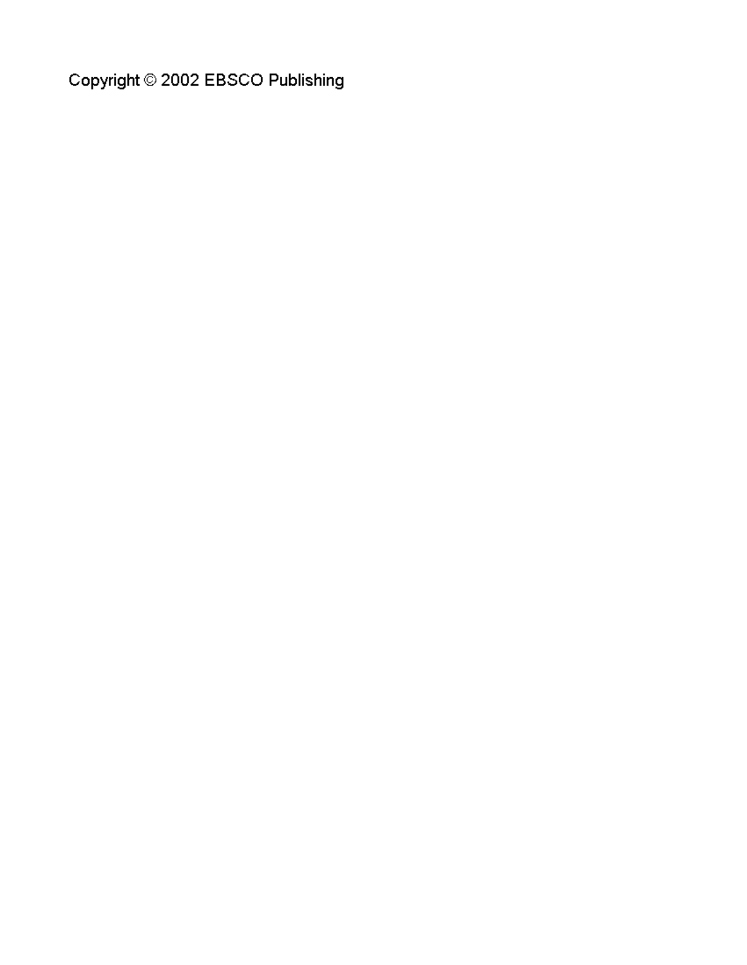Copyright © 2002 EBSCO Publishing